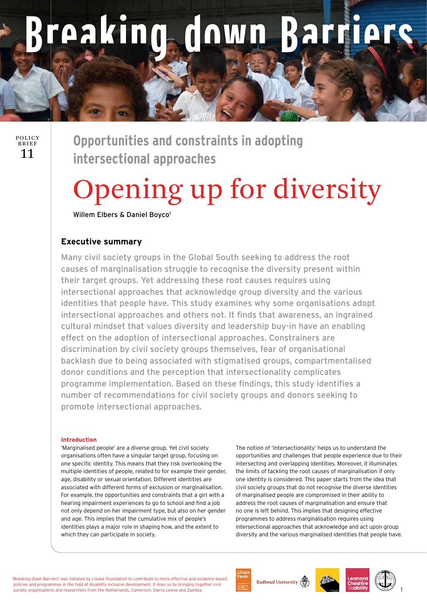# reaking **Adown Rarriers**

# 11 POLICY BRIEF

**Opportunities and constraints in adopting intersectional approaches**

# Opening up for diversity

Willem Elbers & Daniel Boyco<sup>1</sup>

# **Executive summary**

Many civil society groups in the Global South seeking to address the root causes of marginalisation struggle to recognise the diversity present within their target groups. Yet addressing these root causes requires using intersectional approaches that acknowledge group diversity and the various identities that people have. This study examines why some organisations adopt intersectional approaches and others not. It finds that awareness, an ingrained cultural mindset that values diversity and leadership buy-in have an enabling effect on the adoption of intersectional approaches. Constrainers are discrimination by civil society groups themselves, fear of organisational backlash due to being associated with stigmatised groups, compartmentalised donor conditions and the perception that intersectionality complicates programme implementation. Based on these findings, this study identifies a number of recommendations for civil society groups and donors seeking to promote intersectional approaches.

#### **Introduction**

'Marginalised people' are a diverse group. Yet civil society organisations often have a singular target group, focusing on one specific identity. This means that they risk overlooking the multiple identities of people, related to for example their gender, age, disability or sexual orientation. Different identities are associated with different forms of exclusion or marginalisation. For example, the opportunities and constraints that a girl with a hearing impairment experiences to go to school and find a job not only depend on her impairment type, but also on her gender and age. This implies that the cumulative mix of people's identities plays a major role in shaping how, and the extent to which they can participate in society.

The notion of 'intersectionality' helps us to understand the opportunities and challenges that people experience due to their intersecting and overlapping identities. Moreover, it illuminates the limits of tackling the root causes of marginalisation if only one identity is considered. This paper starts from the idea that civil society groups that do not recognise the diverse identities of marginalised people are compromised in their ability to address the root causes of marginalisation and ensure that no one is left behind. This implies that designing effective programmes to address marginalisation requires using intersectional approaches that acknowledge and act upon group diversity and the various marginalised identities that people have.

'Breaking down Barriers' was initiated by Liliane Foundation to contribute to more effective and evidence-based policies and programmes in the field of disability inclusive development. It does so by bringing together civil society organisations and researchers from the Netherlands, Cameroon, Sierra Leone and Zambia.







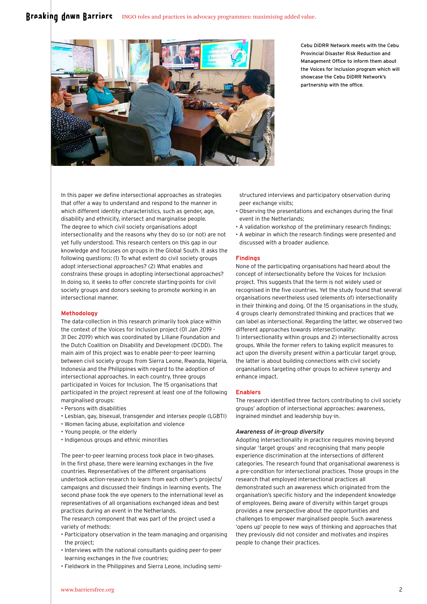### Breaking down Barriers INGO roles and practices in advocacy programmes: maximising added value.



Cebu DiDRR Network meets with the Cebu Provincial Disaster Risk Reduction and Management Office to inform them about the Voices for Inclusion program which will showcase the Cebu DiDRR Network's partnership with the office.

In this paper we define intersectional approaches as strategies that offer a way to understand and respond to the manner in which different identity characteristics, such as gender, age, disability and ethnicity, intersect and marginalise people. The degree to which civil society organisations adopt intersectionality and the reasons why they do so (or not) are not yet fully understood. This research centers on this gap in our knowledge and focuses on groups in the Global South. It asks the following questions: (1) To what extent do civil society groups adopt intersectional approaches? (2) What enables and constrains these groups in adopting intersectional approaches? In doing so, it seeks to offer concrete starting-points for civil society groups and donors seeking to promote working in an intersectional manner.

#### **Methodology**

The data-collection in this research primarily took place within the context of the Voices for Inclusion project (01 Jan 2019 -31 Dec 2019) which was coordinated by Liliane Foundation and the Dutch Coalition on Disability and Development (DCDD). The main aim of this project was to enable peer-to-peer learning between civil society groups from Sierra Leone, Rwanda, Nigeria, Indonesia and the Philippines with regard to the adoption of intersectional approaches. In each country, three groups participated in Voices for Inclusion. The 15 organisations that participated in the project represent at least one of the following marginalised groups:

- Persons with disabilities
- Lesbian, gay, bisexual, transgender and intersex people (LGBTI)
- Women facing abuse, exploitation and violence
- Young people, or the elderly
- Indigenous groups and ethnic minorities

The peer-to-peer learning process took place in two-phases. In the first phase, there were learning exchanges in the five countries. Representatives of the different organisations undertook action-research to learn from each other's projects/ campaigns and discussed their findings in learning events. The second phase took the eye openers to the international level as representatives of all organisations exchanged ideas and best practices during an event in the Netherlands.

The research component that was part of the project used a variety of methods:

- Participatory observation in the team managing and organising the project;
- Interviews with the national consultants guiding peer-to-peer learning exchanges in the five countries;
- Fieldwork in the Philippines and Sierra Leone, including semi-

structured interviews and participatory observation during peer exchange visits;

- Observing the presentations and exchanges during the final event in the Netherlands;
- A validation workshop of the preliminary research findings;
- A webinar in which the research findings were presented and discussed with a broader audience.

#### **Findings**

None of the participating organisations had heard about the concept of intersectionality before the Voices for Inclusion project. This suggests that the term is not widely used or recognised in the five countries. Yet the study found that several organisations nevertheless used (elements of) intersectionality in their thinking and doing. Of the 15 organisations in the study, 4 groups clearly demonstrated thinking and practices that we can label as intersectional. Regarding the latter, we observed two different approaches towards intersectionality: 1) intersectionality within groups and 2) intersectionality across groups. While the former refers to taking explicit measures to act upon the diversity present within a particular target group, the latter is about building connections with civil society organisations targeting other groups to achieve synergy and enhance impact.

#### **Enablers**

The research identified three factors contributing to civil society groups' adoption of intersectional approaches: awareness, ingrained mindset and leadership buy-in.

#### *Awareness of in-group diversity*

Adopting intersectionality in practice requires moving beyond singular 'target groups' and recognising that many people experience discrimination at the intersections of different categories. The research found that organisational awareness is a pre-condition for intersectional practices. Those groups in the research that employed intersectional practices all demonstrated such an awareness which originated from the organisation's specific history and the independent knowledge of employees. Being aware of diversity within target groups provides a new perspective about the opportunities and challenges to empower marginalised people. Such awareness 'opens up' people to new ways of thinking and approaches that they previously did not consider and motivates and inspires people to change their practices.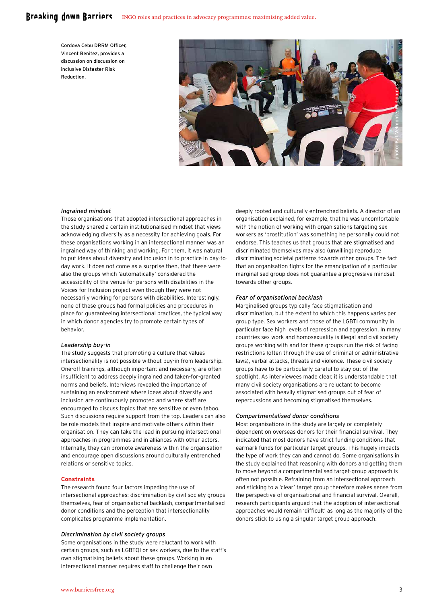# Breaking down Barriers INGO roles and practices in advocacy programmes: maximising added value.

Cordova Cebu DRRM Officer, Vincent Benitez, provides a discussion on discussion on inclusive Distaster Risk Reduction.



#### *Ingrained mindset*

Those organisations that adopted intersectional approaches in the study shared a certain institutionalised mindset that views acknowledging diversity as a necessity for achieving goals. For these organisations working in an intersectional manner was an ingrained way of thinking and working. For them, it was natural to put ideas about diversity and inclusion in to practice in day-today work. It does not come as a surprise then, that these were also the groups which 'automatically' considered the accessibility of the venue for persons with disabilities in the Voices for Inclusion project even though they were not necessarily working for persons with disabilities. Interestingly, none of these groups had formal policies and procedures in place for guaranteeing intersectional practices, the typical way in which donor agencies try to promote certain types of behavior.

#### *Leadership buy-in*

The study suggests that promoting a culture that values intersectionality is not possible without buy-in from leadership. One-off trainings, although important and necessary, are often insufficient to address deeply ingrained and taken-for-granted norms and beliefs. Interviews revealed the importance of sustaining an environment where ideas about diversity and inclusion are continuously promoted and where staff are encouraged to discuss topics that are sensitive or even taboo. Such discussions require support from the top. Leaders can also be role models that inspire and motivate others within their organisation. They can take the lead in pursuing intersectional approaches in programmes and in alliances with other actors. Internally, they can promote awareness within the organisation and encourage open discussions around culturally entrenched relations or sensitive topics.

#### **Constraints**

The research found four factors impeding the use of intersectional approaches: discrimination by civil society groups themselves, fear of organisational backlash, compartmentalised donor conditions and the perception that intersectionality complicates programme implementation.

#### *Discrimination by civil society groups*

Some organisations in the study were reluctant to work with certain groups, such as LGBTQI or sex workers, due to the staff's own stigmatising beliefs about these groups. Working in an intersectional manner requires staff to challenge their own

deeply rooted and culturally entrenched beliefs. A director of an organisation explained, for example, that he was uncomfortable with the notion of working with organisations targeting sex workers as 'prostitution' was something he personally could not endorse. This teaches us that groups that are stigmatised and discriminated themselves may also (unwilling) reproduce discriminating societal patterns towards other groups. The fact that an organisation fights for the emancipation of a particular marginalised group does not guarantee a progressive mindset towards other groups.

#### *Fear of organisational backlash*

Marginalised groups typically face stigmatisation and discrimination, but the extent to which this happens varies per group type. Sex workers and those of the LGBTI community in particular face high levels of repression and aggression. In many countries sex work and homosexuality is illegal and civil society groups working with and for these groups run the risk of facing restrictions (often through the use of criminal or administrative laws), verbal attacks, threats and violence. These civil society groups have to be particularly careful to stay out of the spotlight. As interviewees made clear, it is understandable that many civil society organisations are reluctant to become associated with heavily stigmatised groups out of fear of repercussions and becoming stigmatised themselves.

#### *Compartmentalised donor conditions*

Most organisations in the study are largely or completely dependent on overseas donors for their financial survival. They indicated that most donors have strict funding conditions that earmark funds for particular target groups. This hugely impacts the type of work they can and cannot do. Some organisations in the study explained that reasoning with donors and getting them to move beyond a compartmentalised target-group approach is often not possible. Refraining from an intersectional approach and sticking to a 'clear' target group therefore makes sense from the perspective of organisational and financial survival. Overall, research participants argued that the adoption of intersectional approaches would remain 'difficult' as long as the majority of the donors stick to using a singular target group approach.